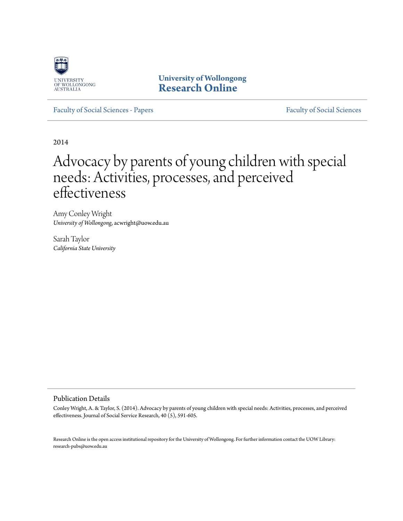

**University of Wollongong [Research Online](http://ro.uow.edu.au)**

[Faculty of Social Sciences - Papers](http://ro.uow.edu.au/sspapers) [Faculty of Social Sciences](http://ro.uow.edu.au/ss)

2014

# Advocacy by parents of young children with special needs: Activities, processes, and perceived effectiveness

Amy Conley Wright *University of Wollongong*, acwright@uow.edu.au

Sarah Taylor *California State University*

#### Publication Details

Conley Wright, A. & Taylor, S. (2014). Advocacy by parents of young children with special needs: Activities, processes, and perceived effectiveness. Journal of Social Service Research, 40 (5), 591-605.

Research Online is the open access institutional repository for the University of Wollongong. For further information contact the UOW Library: research-pubs@uow.edu.au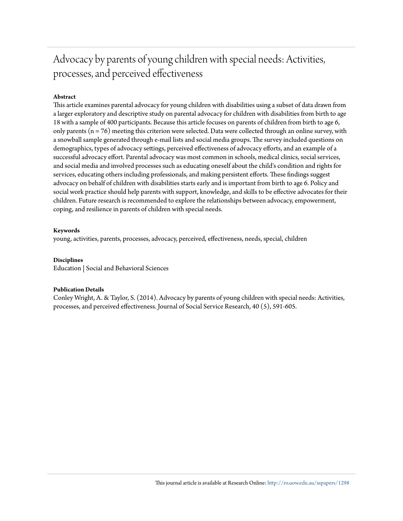# Advocacy by parents of young children with special needs: Activities, processes, and perceived effectiveness

# **Abstract**

This article examines parental advocacy for young children with disabilities using a subset of data drawn from a larger exploratory and descriptive study on parental advocacy for children with disabilities from birth to age 18 with a sample of 400 participants. Because this article focuses on parents of children from birth to age 6, only parents ( $n = 76$ ) meeting this criterion were selected. Data were collected through an online survey, with a snowball sample generated through e-mail lists and social media groups. The survey included questions on demographics, types of advocacy settings, perceived effectiveness of advocacy efforts, and an example of a successful advocacy effort. Parental advocacy was most common in schools, medical clinics, social services, and social media and involved processes such as educating oneself about the child's condition and rights for services, educating others including professionals, and making persistent efforts. These findings suggest advocacy on behalf of children with disabilities starts early and is important from birth to age 6. Policy and social work practice should help parents with support, knowledge, and skills to be effective advocates for their children. Future research is recommended to explore the relationships between advocacy, empowerment, coping, and resilience in parents of children with special needs.

#### **Keywords**

young, activities, parents, processes, advocacy, perceived, effectiveness, needs, special, children

#### **Disciplines**

Education | Social and Behavioral Sciences

#### **Publication Details**

Conley Wright, A. & Taylor, S. (2014). Advocacy by parents of young children with special needs: Activities, processes, and perceived effectiveness. Journal of Social Service Research, 40 (5), 591-605.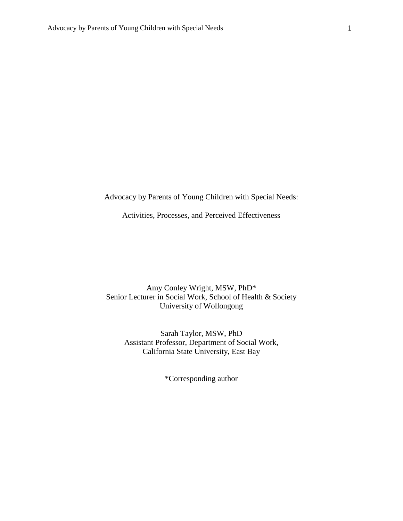Advocacy by Parents of Young Children with Special Needs:

Activities, Processes, and Perceived Effectiveness

Amy Conley Wright, MSW, PhD\* Senior Lecturer in Social Work, School of Health & Society University of Wollongong

Sarah Taylor, MSW, PhD Assistant Professor, Department of Social Work, California State University, East Bay

\*Corresponding author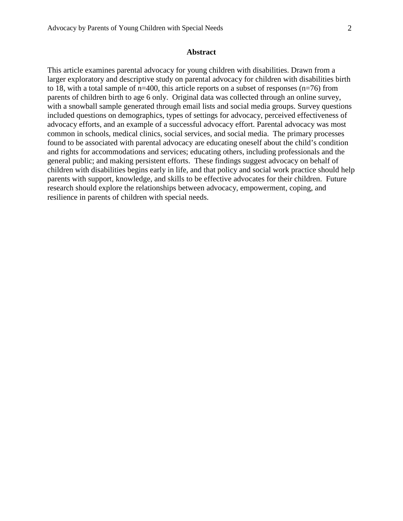# **Abstract**

This article examines parental advocacy for young children with disabilities. Drawn from a larger exploratory and descriptive study on parental advocacy for children with disabilities birth to 18, with a total sample of n=400, this article reports on a subset of responses (n=76) from parents of children birth to age 6 only. Original data was collected through an online survey, with a snowball sample generated through email lists and social media groups. Survey questions included questions on demographics, types of settings for advocacy, perceived effectiveness of advocacy efforts, and an example of a successful advocacy effort. Parental advocacy was most common in schools, medical clinics, social services, and social media. The primary processes found to be associated with parental advocacy are educating oneself about the child's condition and rights for accommodations and services; educating others, including professionals and the general public; and making persistent efforts. These findings suggest advocacy on behalf of children with disabilities begins early in life, and that policy and social work practice should help parents with support, knowledge, and skills to be effective advocates for their children. Future research should explore the relationships between advocacy, empowerment, coping, and resilience in parents of children with special needs.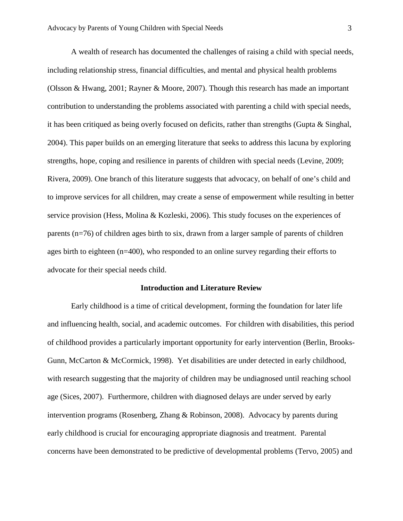A wealth of research has documented the challenges of raising a child with special needs, including relationship stress, financial difficulties, and mental and physical health problems (Olsson & Hwang, 2001; Rayner & Moore, 2007). Though this research has made an important contribution to understanding the problems associated with parenting a child with special needs, it has been critiqued as being overly focused on deficits, rather than strengths (Gupta & Singhal, 2004). This paper builds on an emerging literature that seeks to address this lacuna by exploring strengths, hope, coping and resilience in parents of children with special needs (Levine, 2009; Rivera, 2009). One branch of this literature suggests that advocacy, on behalf of one's child and to improve services for all children, may create a sense of empowerment while resulting in better service provision (Hess, Molina & Kozleski, 2006). This study focuses on the experiences of parents (n=76) of children ages birth to six, drawn from a larger sample of parents of children ages birth to eighteen (n=400), who responded to an online survey regarding their efforts to advocate for their special needs child.

#### **Introduction and Literature Review**

Early childhood is a time of critical development, forming the foundation for later life and influencing health, social, and academic outcomes. For children with disabilities, this period of childhood provides a particularly important opportunity for early intervention (Berlin, Brooks-Gunn, McCarton & McCormick, 1998). Yet disabilities are under detected in early childhood, with research suggesting that the majority of children may be undiagnosed until reaching school age (Sices, 2007). Furthermore, children with diagnosed delays are under served by early intervention programs (Rosenberg, Zhang & Robinson, 2008). Advocacy by parents during early childhood is crucial for encouraging appropriate diagnosis and treatment. Parental concerns have been demonstrated to be predictive of developmental problems (Tervo, 2005) and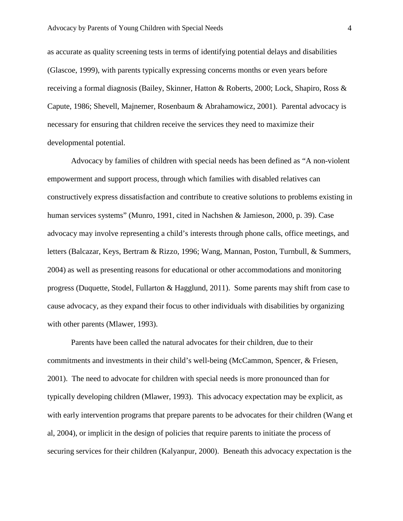as accurate as quality screening tests in terms of identifying potential delays and disabilities (Glascoe, 1999), with parents typically expressing concerns months or even years before receiving a formal diagnosis (Bailey, Skinner, Hatton & Roberts, 2000; Lock, Shapiro, Ross & Capute, 1986; Shevell, Majnemer, Rosenbaum & Abrahamowicz, 2001). Parental advocacy is necessary for ensuring that children receive the services they need to maximize their developmental potential.

Advocacy by families of children with special needs has been defined as "A non-violent empowerment and support process, through which families with disabled relatives can constructively express dissatisfaction and contribute to creative solutions to problems existing in human services systems" (Munro, 1991, cited in Nachshen & Jamieson, 2000, p. 39). Case advocacy may involve representing a child's interests through phone calls, office meetings, and letters (Balcazar, Keys, Bertram & Rizzo, 1996; Wang, Mannan, Poston, Turnbull, & Summers, 2004) as well as presenting reasons for educational or other accommodations and monitoring progress (Duquette, Stodel, Fullarton & Hagglund, 2011). Some parents may shift from case to cause advocacy, as they expand their focus to other individuals with disabilities by organizing with other parents (Mlawer, 1993).

Parents have been called the natural advocates for their children, due to their commitments and investments in their child's well-being (McCammon, Spencer, & Friesen, 2001). The need to advocate for children with special needs is more pronounced than for typically developing children (Mlawer, 1993). This advocacy expectation may be explicit, as with early intervention programs that prepare parents to be advocates for their children (Wang et al, 2004), or implicit in the design of policies that require parents to initiate the process of securing services for their children (Kalyanpur, 2000). Beneath this advocacy expectation is the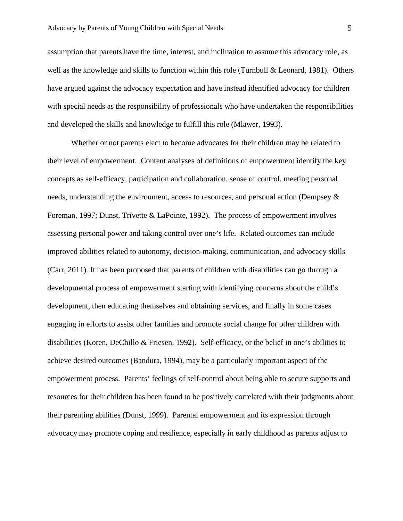assumption that parents have the time, interest, and inclination to assume this advocacy role, as well as the knowledge and skills to function within this role (Turnbull & Leonard, 1981). Others have argued against the advocacy expectation and have instead identified advocacy for children with special needs as the responsibility of professionals who have undertaken the responsibilities and developed the skills and knowledge to fulfill this role (Mlawer, 1993).

Whether or not parents elect to become advocates for their children may be related to their level of empowerment. Content analyses of definitions of empowerment identify the key concepts as self-efficacy, participation and collaboration, sense of control, meeting personal needs, understanding the environment, access to resources, and personal action (Dempsey & Foreman, 1997; Dunst, Trivette & LaPointe, 1992). The process of empowerment involves assessing personal power and taking control over one's life. Related outcomes can include improved abilities related to autonomy, decision-making, communication, and advocacy skills (Carr, 2011). It has been proposed that parents of children with disabilities can go through a developmental process of empowerment starting with identifying concerns about the child's development, then educating themselves and obtaining services, and finally in some cases engaging in efforts to assist other families and promote social change for other children with disabilities (Koren, DeChillo & Friesen, 1992). Self-efficacy, or the belief in one's abilities to achieve desired outcomes (Bandura, 1994), may be a particularly important aspect of the empowerment process. Parents' feelings of self-control about being able to secure supports and resources for their children has been found to be positively correlated with their judgments about their parenting abilities (Dunst, 1999). Parental empowerment and its expression through advocacy may promote coping and resilience, especially in early childhood as parents adjust to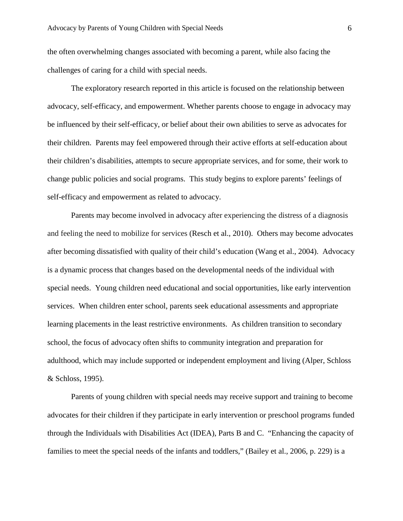the often overwhelming changes associated with becoming a parent, while also facing the challenges of caring for a child with special needs.

The exploratory research reported in this article is focused on the relationship between advocacy, self-efficacy, and empowerment. Whether parents choose to engage in advocacy may be influenced by their self-efficacy, or belief about their own abilities to serve as advocates for their children. Parents may feel empowered through their active efforts at self-education about their children's disabilities, attempts to secure appropriate services, and for some, their work to change public policies and social programs. This study begins to explore parents' feelings of self-efficacy and empowerment as related to advocacy.

Parents may become involved in advocacy after experiencing the distress of a diagnosis and feeling the need to mobilize for services (Resch et al., 2010). Others may become advocates after becoming dissatisfied with quality of their child's education (Wang et al., 2004). Advocacy is a dynamic process that changes based on the developmental needs of the individual with special needs. Young children need educational and social opportunities, like early intervention services. When children enter school, parents seek educational assessments and appropriate learning placements in the least restrictive environments. As children transition to secondary school, the focus of advocacy often shifts to community integration and preparation for adulthood, which may include supported or independent employment and living (Alper, Schloss & Schloss, 1995).

Parents of young children with special needs may receive support and training to become advocates for their children if they participate in early intervention or preschool programs funded through the Individuals with Disabilities Act (IDEA), Parts B and C. "Enhancing the capacity of families to meet the special needs of the infants and toddlers," (Bailey et al., 2006, p. 229) is a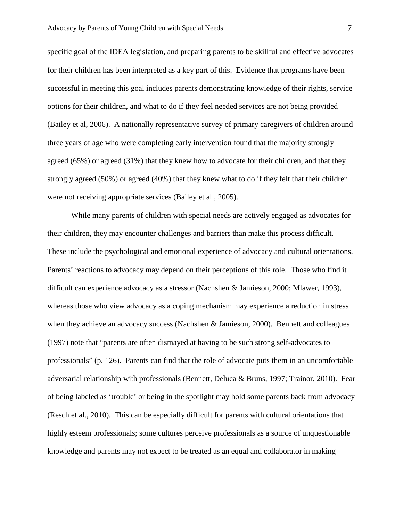specific goal of the IDEA legislation, and preparing parents to be skillful and effective advocates for their children has been interpreted as a key part of this. Evidence that programs have been successful in meeting this goal includes parents demonstrating knowledge of their rights, service options for their children, and what to do if they feel needed services are not being provided (Bailey et al, 2006). A nationally representative survey of primary caregivers of children around three years of age who were completing early intervention found that the majority strongly agreed (65%) or agreed (31%) that they knew how to advocate for their children, and that they strongly agreed (50%) or agreed (40%) that they knew what to do if they felt that their children were not receiving appropriate services (Bailey et al., 2005).

While many parents of children with special needs are actively engaged as advocates for their children, they may encounter challenges and barriers than make this process difficult. These include the psychological and emotional experience of advocacy and cultural orientations. Parents' reactions to advocacy may depend on their perceptions of this role. Those who find it difficult can experience advocacy as a stressor (Nachshen & Jamieson, 2000; Mlawer, 1993), whereas those who view advocacy as a coping mechanism may experience a reduction in stress when they achieve an advocacy success (Nachshen & Jamieson, 2000). Bennett and colleagues (1997) note that "parents are often dismayed at having to be such strong self-advocates to professionals" (p. 126). Parents can find that the role of advocate puts them in an uncomfortable adversarial relationship with professionals (Bennett, Deluca & Bruns, 1997; Trainor, 2010). Fear of being labeled as 'trouble' or being in the spotlight may hold some parents back from advocacy (Resch et al., 2010). This can be especially difficult for parents with cultural orientations that highly esteem professionals; some cultures perceive professionals as a source of unquestionable knowledge and parents may not expect to be treated as an equal and collaborator in making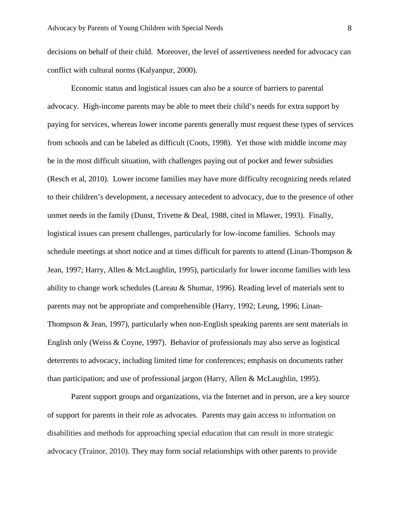decisions on behalf of their child. Moreover, the level of assertiveness needed for advocacy can conflict with cultural norms (Kalyanpur, 2000).

Economic status and logistical issues can also be a source of barriers to parental advocacy. High-income parents may be able to meet their child's needs for extra support by paying for services, whereas lower income parents generally must request these types of services from schools and can be labeled as difficult (Coots, 1998). Yet those with middle income may be in the most difficult situation, with challenges paying out of pocket and fewer subsidies (Resch et al, 2010). Lower income families may have more difficulty recognizing needs related to their children's development, a necessary antecedent to advocacy, due to the presence of other unmet needs in the family (Dunst, Trivette & Deal, 1988, cited in Mlawer, 1993). Finally, logistical issues can present challenges, particularly for low-income families. Schools may schedule meetings at short notice and at times difficult for parents to attend (Linan-Thompson & Jean, 1997; Harry, Allen & McLaughlin, 1995), particularly for lower income families with less ability to change work schedules (Lareau & Shumar, 1996). Reading level of materials sent to parents may not be appropriate and comprehensible (Harry, 1992; Leung, 1996; Linan-Thompson & Jean, 1997), particularly when non-English speaking parents are sent materials in English only (Weiss & Coyne, 1997). Behavior of professionals may also serve as logistical deterrents to advocacy, including limited time for conferences; emphasis on documents rather than participation; and use of professional jargon (Harry, Allen & McLaughlin, 1995).

Parent support groups and organizations, via the Internet and in person, are a key source of support for parents in their role as advocates. Parents may gain access to information on disabilities and methods for approaching special education that can result in more strategic advocacy (Trainor, 2010). They may form social relationships with other parents to provide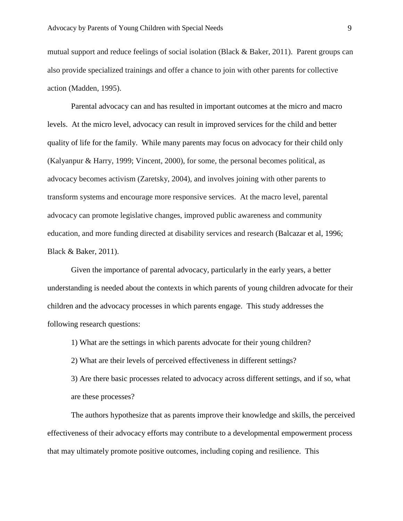mutual support and reduce feelings of social isolation (Black & Baker, 2011). Parent groups can also provide specialized trainings and offer a chance to join with other parents for collective action (Madden, 1995).

Parental advocacy can and has resulted in important outcomes at the micro and macro levels. At the micro level, advocacy can result in improved services for the child and better quality of life for the family. While many parents may focus on advocacy for their child only (Kalyanpur & Harry, 1999; Vincent, 2000), for some, the personal becomes political, as advocacy becomes activism (Zaretsky, 2004), and involves joining with other parents to transform systems and encourage more responsive services. At the macro level, parental advocacy can promote legislative changes, improved public awareness and community education, and more funding directed at disability services and research (Balcazar et al, 1996; Black & Baker, 2011).

Given the importance of parental advocacy, particularly in the early years, a better understanding is needed about the contexts in which parents of young children advocate for their children and the advocacy processes in which parents engage. This study addresses the following research questions:

1) What are the settings in which parents advocate for their young children?

2) What are their levels of perceived effectiveness in different settings?

3) Are there basic processes related to advocacy across different settings, and if so, what are these processes?

The authors hypothesize that as parents improve their knowledge and skills, the perceived effectiveness of their advocacy efforts may contribute to a developmental empowerment process that may ultimately promote positive outcomes, including coping and resilience. This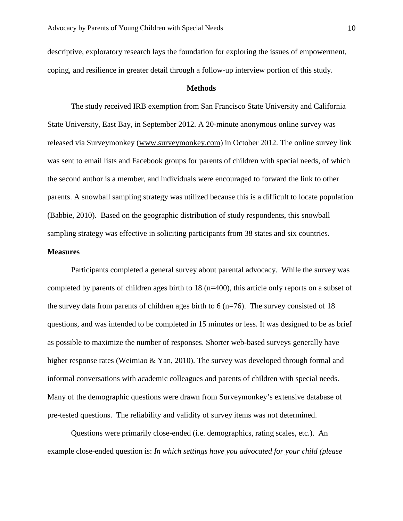descriptive, exploratory research lays the foundation for exploring the issues of empowerment, coping, and resilience in greater detail through a follow-up interview portion of this study.

# **Methods**

The study received IRB exemption from San Francisco State University and California State University, East Bay, in September 2012. A 20-minute anonymous online survey was released via Surveymonkey [\(www.surveymonkey.com\)](http://www.surveymonkey.com/) in October 2012. The online survey link was sent to email lists and Facebook groups for parents of children with special needs, of which the second author is a member, and individuals were encouraged to forward the link to other parents. A snowball sampling strategy was utilized because this is a difficult to locate population (Babbie, 2010). Based on the geographic distribution of study respondents, this snowball sampling strategy was effective in soliciting participants from 38 states and six countries.

# **Measures**

Participants completed a general survey about parental advocacy. While the survey was completed by parents of children ages birth to 18 (n=400), this article only reports on a subset of the survey data from parents of children ages birth to  $6 \text{ (n=76)}$ . The survey consisted of 18 questions, and was intended to be completed in 15 minutes or less. It was designed to be as brief as possible to maximize the number of responses. Shorter web-based surveys generally have higher response rates (Weimiao & Yan, 2010). The survey was developed through formal and informal conversations with academic colleagues and parents of children with special needs. Many of the demographic questions were drawn from Surveymonkey's extensive database of pre-tested questions. The reliability and validity of survey items was not determined.

Questions were primarily close-ended (i.e. demographics, rating scales, etc.). An example close-ended question is: *In which settings have you advocated for your child (please*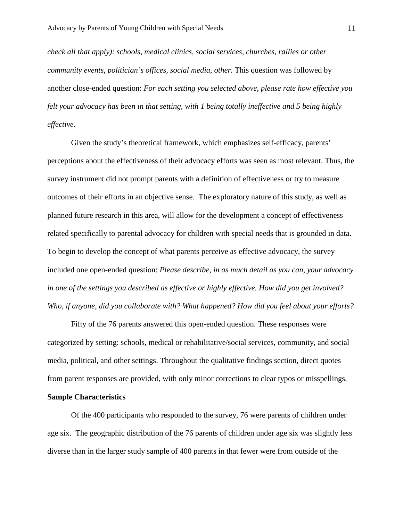*check all that apply): schools, medical clinics, social services, churches, rallies or other community events, politician's offices, social media, other.* This question was followed by another close-ended question: *For each setting you selected above, please rate how effective you felt your advocacy has been in that setting, with 1 being totally ineffective and 5 being highly effective.*

Given the study's theoretical framework, which emphasizes self-efficacy, parents' perceptions about the effectiveness of their advocacy efforts was seen as most relevant. Thus, the survey instrument did not prompt parents with a definition of effectiveness or try to measure outcomes of their efforts in an objective sense. The exploratory nature of this study, as well as planned future research in this area, will allow for the development a concept of effectiveness related specifically to parental advocacy for children with special needs that is grounded in data. To begin to develop the concept of what parents perceive as effective advocacy, the survey included one open-ended question: *Please describe, in as much detail as you can, your advocacy in one of the settings you described as effective or highly effective. How did you get involved? Who, if anyone, did you collaborate with? What happened? How did you feel about your efforts?*

Fifty of the 76 parents answered this open-ended question. These responses were categorized by setting: schools, medical or rehabilitative/social services, community, and social media, political, and other settings. Throughout the qualitative findings section, direct quotes from parent responses are provided, with only minor corrections to clear typos or misspellings.

# **Sample Characteristics**

Of the 400 participants who responded to the survey, 76 were parents of children under age six. The geographic distribution of the 76 parents of children under age six was slightly less diverse than in the larger study sample of 400 parents in that fewer were from outside of the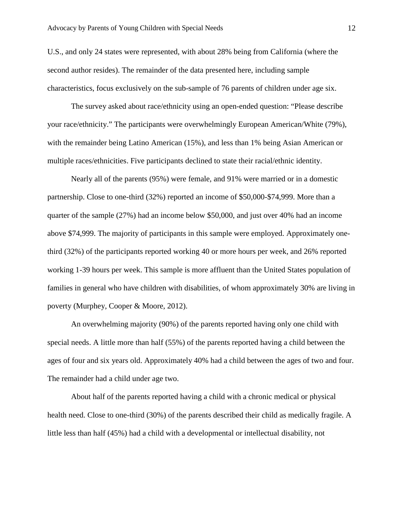U.S., and only 24 states were represented, with about 28% being from California (where the second author resides). The remainder of the data presented here, including sample characteristics, focus exclusively on the sub-sample of 76 parents of children under age six.

The survey asked about race/ethnicity using an open-ended question: "Please describe your race/ethnicity." The participants were overwhelmingly European American/White (79%), with the remainder being Latino American (15%), and less than 1% being Asian American or multiple races/ethnicities. Five participants declined to state their racial/ethnic identity.

Nearly all of the parents (95%) were female, and 91% were married or in a domestic partnership. Close to one-third (32%) reported an income of \$50,000-\$74,999. More than a quarter of the sample (27%) had an income below \$50,000, and just over 40% had an income above \$74,999. The majority of participants in this sample were employed. Approximately onethird (32%) of the participants reported working 40 or more hours per week, and 26% reported working 1-39 hours per week. This sample is more affluent than the United States population of families in general who have children with disabilities, of whom approximately 30% are living in poverty (Murphey, Cooper & Moore, 2012).

An overwhelming majority (90%) of the parents reported having only one child with special needs. A little more than half (55%) of the parents reported having a child between the ages of four and six years old. Approximately 40% had a child between the ages of two and four. The remainder had a child under age two.

About half of the parents reported having a child with a chronic medical or physical health need. Close to one-third (30%) of the parents described their child as medically fragile. A little less than half (45%) had a child with a developmental or intellectual disability, not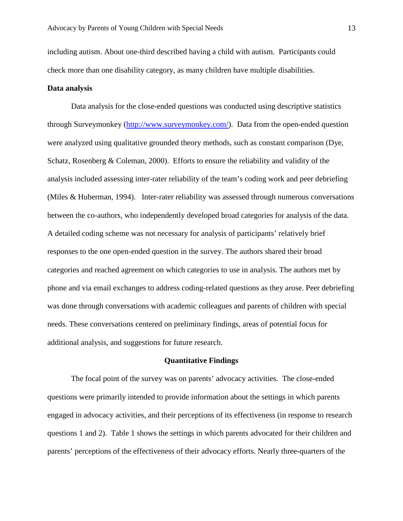including autism. About one-third described having a child with autism. Participants could check more than one disability category, as many children have multiple disabilities.

# **Data analysis**

Data analysis for the close-ended questions was conducted using descriptive statistics through Surveymonkey [\(http://www.surveymonkey.com/\)](http://www.surveymonkey.com/). Data from the open-ended question were analyzed using qualitative grounded theory methods, such as constant comparison (Dye, Schatz, Rosenberg & Coleman, 2000). Efforts to ensure the reliability and validity of the analysis included assessing inter-rater reliability of the team's coding work and peer debriefing (Miles & Huberman, 1994). Inter-rater reliability was assessed through numerous conversations between the co-authors, who independently developed broad categories for analysis of the data. A detailed coding scheme was not necessary for analysis of participants' relatively brief responses to the one open-ended question in the survey. The authors shared their broad categories and reached agreement on which categories to use in analysis. The authors met by phone and via email exchanges to address coding-related questions as they arose. Peer debriefing was done through conversations with academic colleagues and parents of children with special needs. These conversations centered on preliminary findings, areas of potential focus for additional analysis, and suggestions for future research.

# **Quantitative Findings**

The focal point of the survey was on parents' advocacy activities. The close-ended questions were primarily intended to provide information about the settings in which parents engaged in advocacy activities, and their perceptions of its effectiveness (in response to research questions 1 and 2). Table 1 shows the settings in which parents advocated for their children and parents' perceptions of the effectiveness of their advocacy efforts. Nearly three-quarters of the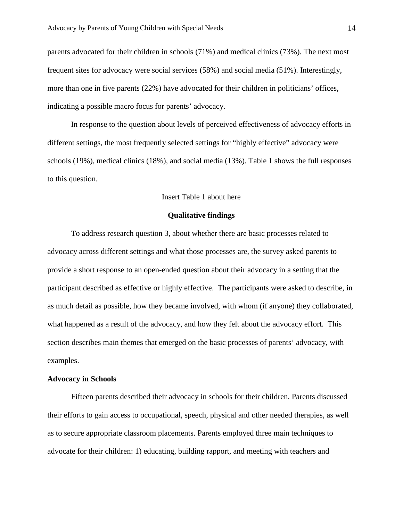parents advocated for their children in schools (71%) and medical clinics (73%). The next most frequent sites for advocacy were social services (58%) and social media (51%). Interestingly, more than one in five parents (22%) have advocated for their children in politicians' offices, indicating a possible macro focus for parents' advocacy.

In response to the question about levels of perceived effectiveness of advocacy efforts in different settings, the most frequently selected settings for "highly effective" advocacy were schools (19%), medical clinics (18%), and social media (13%). Table 1 shows the full responses to this question.

# Insert Table 1 about here

#### **Qualitative findings**

To address research question 3, about whether there are basic processes related to advocacy across different settings and what those processes are, the survey asked parents to provide a short response to an open-ended question about their advocacy in a setting that the participant described as effective or highly effective. The participants were asked to describe, in as much detail as possible, how they became involved, with whom (if anyone) they collaborated, what happened as a result of the advocacy, and how they felt about the advocacy effort. This section describes main themes that emerged on the basic processes of parents' advocacy, with examples.

# **Advocacy in Schools**

Fifteen parents described their advocacy in schools for their children. Parents discussed their efforts to gain access to occupational, speech, physical and other needed therapies, as well as to secure appropriate classroom placements. Parents employed three main techniques to advocate for their children: 1) educating, building rapport, and meeting with teachers and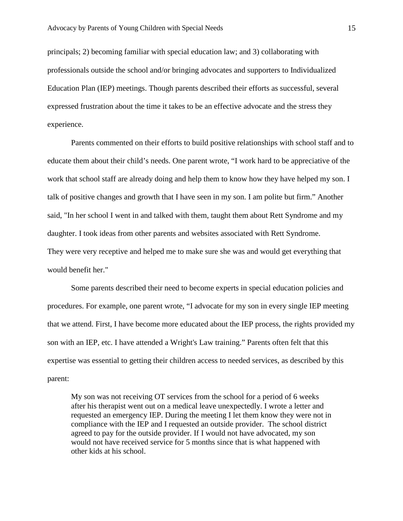principals; 2) becoming familiar with special education law; and 3) collaborating with professionals outside the school and/or bringing advocates and supporters to Individualized Education Plan (IEP) meetings. Though parents described their efforts as successful, several expressed frustration about the time it takes to be an effective advocate and the stress they experience.

Parents commented on their efforts to build positive relationships with school staff and to educate them about their child's needs. One parent wrote, "I work hard to be appreciative of the work that school staff are already doing and help them to know how they have helped my son. I talk of positive changes and growth that I have seen in my son. I am polite but firm." Another said, "In her school I went in and talked with them, taught them about Rett Syndrome and my daughter. I took ideas from other parents and websites associated with Rett Syndrome. They were very receptive and helped me to make sure she was and would get everything that would benefit her."

Some parents described their need to become experts in special education policies and procedures. For example, one parent wrote, "I advocate for my son in every single IEP meeting that we attend. First, I have become more educated about the IEP process, the rights provided my son with an IEP, etc. I have attended a Wright's Law training." Parents often felt that this expertise was essential to getting their children access to needed services, as described by this parent:

My son was not receiving OT services from the school for a period of 6 weeks after his therapist went out on a medical leave unexpectedly. I wrote a letter and requested an emergency IEP. During the meeting I let them know they were not in compliance with the IEP and I requested an outside provider. The school district agreed to pay for the outside provider. If I would not have advocated, my son would not have received service for 5 months since that is what happened with other kids at his school.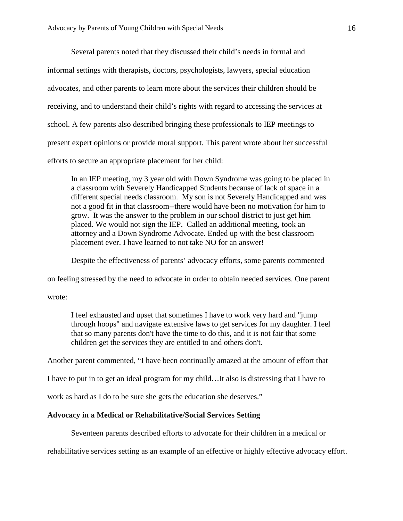Several parents noted that they discussed their child's needs in formal and informal settings with therapists, doctors, psychologists, lawyers, special education advocates, and other parents to learn more about the services their children should be receiving, and to understand their child's rights with regard to accessing the services at school. A few parents also described bringing these professionals to IEP meetings to present expert opinions or provide moral support. This parent wrote about her successful efforts to secure an appropriate placement for her child:

In an IEP meeting, my 3 year old with Down Syndrome was going to be placed in a classroom with Severely Handicapped Students because of lack of space in a different special needs classroom. My son is not Severely Handicapped and was not a good fit in that classroom--there would have been no motivation for him to grow. It was the answer to the problem in our school district to just get him placed. We would not sign the IEP. Called an additional meeting, took an attorney and a Down Syndrome Advocate. Ended up with the best classroom placement ever. I have learned to not take NO for an answer!

Despite the effectiveness of parents' advocacy efforts, some parents commented

on feeling stressed by the need to advocate in order to obtain needed services. One parent

#### wrote:

I feel exhausted and upset that sometimes I have to work very hard and "jump through hoops" and navigate extensive laws to get services for my daughter. I feel that so many parents don't have the time to do this, and it is not fair that some children get the services they are entitled to and others don't.

Another parent commented, "I have been continually amazed at the amount of effort that

I have to put in to get an ideal program for my child…It also is distressing that I have to

work as hard as I do to be sure she gets the education she deserves."

#### **Advocacy in a Medical or Rehabilitative/Social Services Setting**

Seventeen parents described efforts to advocate for their children in a medical or

rehabilitative services setting as an example of an effective or highly effective advocacy effort.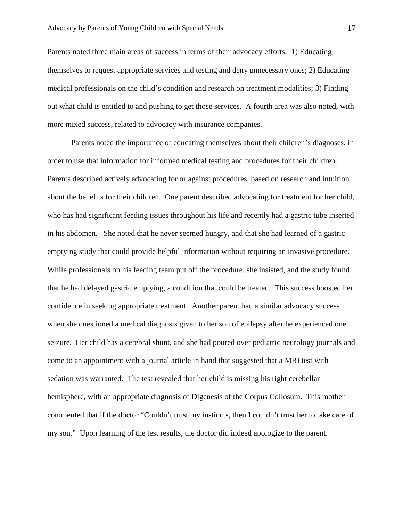Parents noted three main areas of success in terms of their advocacy efforts: 1) Educating themselves to request appropriate services and testing and deny unnecessary ones; 2) Educating medical professionals on the child's condition and research on treatment modalities; 3) Finding out what child is entitled to and pushing to get those services. A fourth area was also noted, with more mixed success, related to advocacy with insurance companies.

Parents noted the importance of educating themselves about their children's diagnoses, in order to use that information for informed medical testing and procedures for their children. Parents described actively advocating for or against procedures, based on research and intuition about the benefits for their children. One parent described advocating for treatment for her child, who has had significant feeding issues throughout his life and recently had a gastric tube inserted in his abdomen. She noted that he never seemed hungry, and that she had learned of a gastric emptying study that could provide helpful information without requiring an invasive procedure. While professionals on his feeding team put off the procedure, she insisted, and the study found that he had delayed gastric emptying, a condition that could be treated. This success boosted her confidence in seeking appropriate treatment. Another parent had a similar advocacy success when she questioned a medical diagnosis given to her son of epilepsy after he experienced one seizure. Her child has a cerebral shunt, and she had poured over pediatric neurology journals and come to an appointment with a journal article in hand that suggested that a MRI test with sedation was warranted. The test revealed that her child is missing his right cerebellar hemisphere, with an appropriate diagnosis of Digenesis of the Corpus Collosum. This mother commented that if the doctor "Couldn't trust my instincts, then I couldn't trust her to take care of my son." Upon learning of the test results, the doctor did indeed apologize to the parent.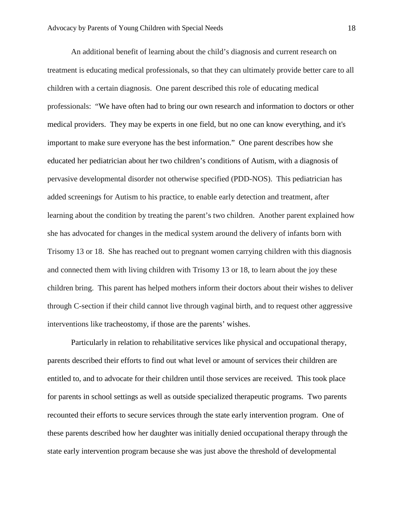An additional benefit of learning about the child's diagnosis and current research on treatment is educating medical professionals, so that they can ultimately provide better care to all children with a certain diagnosis. One parent described this role of educating medical professionals: "We have often had to bring our own research and information to doctors or other medical providers. They may be experts in one field, but no one can know everything, and it's important to make sure everyone has the best information." One parent describes how she educated her pediatrician about her two children's conditions of Autism, with a diagnosis of pervasive developmental disorder not otherwise specified (PDD-NOS). This pediatrician has added screenings for Autism to his practice, to enable early detection and treatment, after learning about the condition by treating the parent's two children. Another parent explained how she has advocated for changes in the medical system around the delivery of infants born with Trisomy 13 or 18. She has reached out to pregnant women carrying children with this diagnosis and connected them with living children with Trisomy 13 or 18, to learn about the joy these children bring. This parent has helped mothers inform their doctors about their wishes to deliver through C-section if their child cannot live through vaginal birth, and to request other aggressive interventions like tracheostomy, if those are the parents' wishes.

Particularly in relation to rehabilitative services like physical and occupational therapy, parents described their efforts to find out what level or amount of services their children are entitled to, and to advocate for their children until those services are received. This took place for parents in school settings as well as outside specialized therapeutic programs. Two parents recounted their efforts to secure services through the state early intervention program. One of these parents described how her daughter was initially denied occupational therapy through the state early intervention program because she was just above the threshold of developmental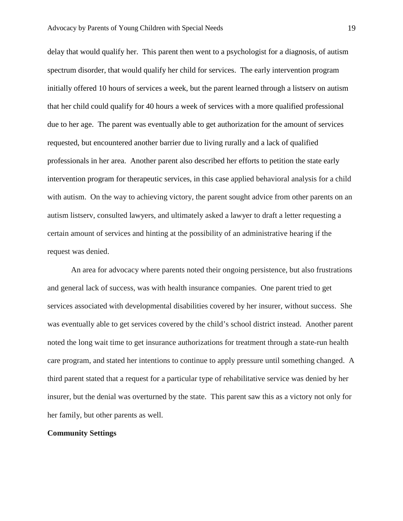delay that would qualify her. This parent then went to a psychologist for a diagnosis, of autism spectrum disorder, that would qualify her child for services. The early intervention program initially offered 10 hours of services a week, but the parent learned through a listserv on autism that her child could qualify for 40 hours a week of services with a more qualified professional due to her age. The parent was eventually able to get authorization for the amount of services requested, but encountered another barrier due to living rurally and a lack of qualified professionals in her area. Another parent also described her efforts to petition the state early intervention program for therapeutic services, in this case applied behavioral analysis for a child with autism. On the way to achieving victory, the parent sought advice from other parents on an autism listserv, consulted lawyers, and ultimately asked a lawyer to draft a letter requesting a certain amount of services and hinting at the possibility of an administrative hearing if the request was denied.

An area for advocacy where parents noted their ongoing persistence, but also frustrations and general lack of success, was with health insurance companies. One parent tried to get services associated with developmental disabilities covered by her insurer, without success. She was eventually able to get services covered by the child's school district instead. Another parent noted the long wait time to get insurance authorizations for treatment through a state-run health care program, and stated her intentions to continue to apply pressure until something changed. A third parent stated that a request for a particular type of rehabilitative service was denied by her insurer, but the denial was overturned by the state. This parent saw this as a victory not only for her family, but other parents as well.

# **Community Settings**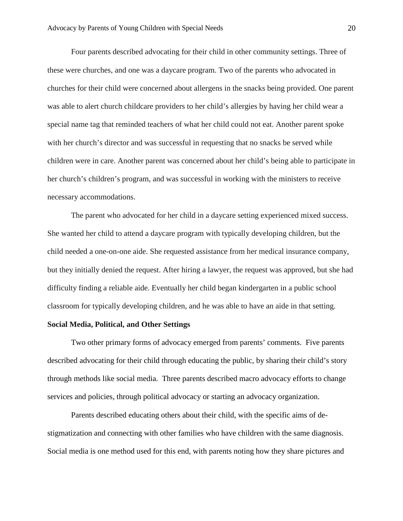Four parents described advocating for their child in other community settings. Three of these were churches, and one was a daycare program. Two of the parents who advocated in churches for their child were concerned about allergens in the snacks being provided. One parent was able to alert church childcare providers to her child's allergies by having her child wear a special name tag that reminded teachers of what her child could not eat. Another parent spoke with her church's director and was successful in requesting that no snacks be served while children were in care. Another parent was concerned about her child's being able to participate in her church's children's program, and was successful in working with the ministers to receive necessary accommodations.

The parent who advocated for her child in a daycare setting experienced mixed success. She wanted her child to attend a daycare program with typically developing children, but the child needed a one-on-one aide. She requested assistance from her medical insurance company, but they initially denied the request. After hiring a lawyer, the request was approved, but she had difficulty finding a reliable aide. Eventually her child began kindergarten in a public school classroom for typically developing children, and he was able to have an aide in that setting.

# **Social Media, Political, and Other Settings**

Two other primary forms of advocacy emerged from parents' comments. Five parents described advocating for their child through educating the public, by sharing their child's story through methods like social media. Three parents described macro advocacy efforts to change services and policies, through political advocacy or starting an advocacy organization.

Parents described educating others about their child, with the specific aims of destigmatization and connecting with other families who have children with the same diagnosis. Social media is one method used for this end, with parents noting how they share pictures and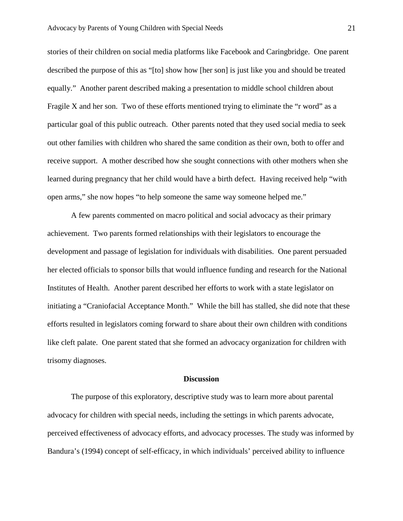stories of their children on social media platforms like Facebook and Caringbridge. One parent described the purpose of this as "[to] show how [her son] is just like you and should be treated equally." Another parent described making a presentation to middle school children about Fragile X and her son. Two of these efforts mentioned trying to eliminate the "r word" as a particular goal of this public outreach. Other parents noted that they used social media to seek out other families with children who shared the same condition as their own, both to offer and receive support. A mother described how she sought connections with other mothers when she learned during pregnancy that her child would have a birth defect. Having received help "with open arms," she now hopes "to help someone the same way someone helped me."

A few parents commented on macro political and social advocacy as their primary achievement. Two parents formed relationships with their legislators to encourage the development and passage of legislation for individuals with disabilities. One parent persuaded her elected officials to sponsor bills that would influence funding and research for the National Institutes of Health. Another parent described her efforts to work with a state legislator on initiating a "Craniofacial Acceptance Month." While the bill has stalled, she did note that these efforts resulted in legislators coming forward to share about their own children with conditions like cleft palate. One parent stated that she formed an advocacy organization for children with trisomy diagnoses.

#### **Discussion**

The purpose of this exploratory, descriptive study was to learn more about parental advocacy for children with special needs, including the settings in which parents advocate, perceived effectiveness of advocacy efforts, and advocacy processes. The study was informed by Bandura's (1994) concept of self-efficacy, in which individuals' perceived ability to influence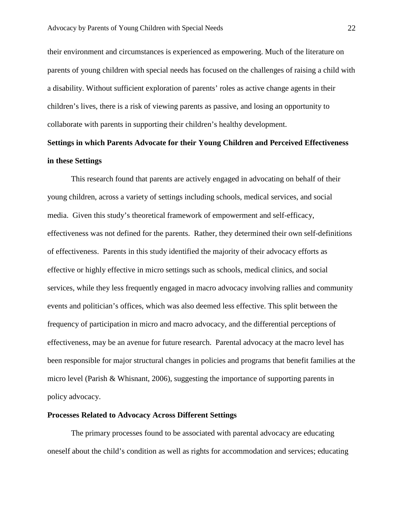their environment and circumstances is experienced as empowering. Much of the literature on parents of young children with special needs has focused on the challenges of raising a child with a disability. Without sufficient exploration of parents' roles as active change agents in their children's lives, there is a risk of viewing parents as passive, and losing an opportunity to collaborate with parents in supporting their children's healthy development.

# **Settings in which Parents Advocate for their Young Children and Perceived Effectiveness in these Settings**

This research found that parents are actively engaged in advocating on behalf of their young children, across a variety of settings including schools, medical services, and social media. Given this study's theoretical framework of empowerment and self-efficacy, effectiveness was not defined for the parents. Rather, they determined their own self-definitions of effectiveness. Parents in this study identified the majority of their advocacy efforts as effective or highly effective in micro settings such as schools, medical clinics, and social services, while they less frequently engaged in macro advocacy involving rallies and community events and politician's offices, which was also deemed less effective. This split between the frequency of participation in micro and macro advocacy, and the differential perceptions of effectiveness, may be an avenue for future research. Parental advocacy at the macro level has been responsible for major structural changes in policies and programs that benefit families at the micro level (Parish & Whisnant, 2006), suggesting the importance of supporting parents in policy advocacy.

# **Processes Related to Advocacy Across Different Settings**

The primary processes found to be associated with parental advocacy are educating oneself about the child's condition as well as rights for accommodation and services; educating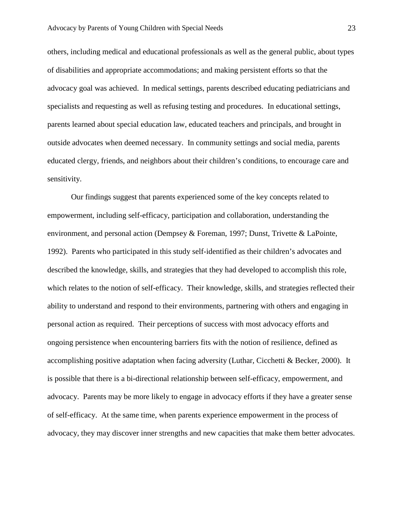others, including medical and educational professionals as well as the general public, about types of disabilities and appropriate accommodations; and making persistent efforts so that the advocacy goal was achieved. In medical settings, parents described educating pediatricians and specialists and requesting as well as refusing testing and procedures. In educational settings, parents learned about special education law, educated teachers and principals, and brought in outside advocates when deemed necessary. In community settings and social media, parents educated clergy, friends, and neighbors about their children's conditions, to encourage care and sensitivity.

Our findings suggest that parents experienced some of the key concepts related to empowerment, including self-efficacy, participation and collaboration, understanding the environment, and personal action (Dempsey & Foreman, 1997; Dunst, Trivette & LaPointe, 1992). Parents who participated in this study self-identified as their children's advocates and described the knowledge, skills, and strategies that they had developed to accomplish this role, which relates to the notion of self-efficacy. Their knowledge, skills, and strategies reflected their ability to understand and respond to their environments, partnering with others and engaging in personal action as required. Their perceptions of success with most advocacy efforts and ongoing persistence when encountering barriers fits with the notion of resilience, defined as accomplishing positive adaptation when facing adversity (Luthar, Cicchetti & Becker, 2000). It is possible that there is a bi-directional relationship between self-efficacy, empowerment, and advocacy. Parents may be more likely to engage in advocacy efforts if they have a greater sense of self-efficacy. At the same time, when parents experience empowerment in the process of advocacy, they may discover inner strengths and new capacities that make them better advocates.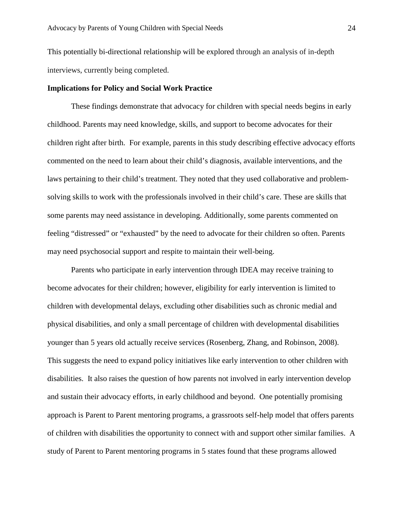This potentially bi-directional relationship will be explored through an analysis of in-depth interviews, currently being completed.

### **Implications for Policy and Social Work Practice**

These findings demonstrate that advocacy for children with special needs begins in early childhood. Parents may need knowledge, skills, and support to become advocates for their children right after birth. For example, parents in this study describing effective advocacy efforts commented on the need to learn about their child's diagnosis, available interventions, and the laws pertaining to their child's treatment. They noted that they used collaborative and problemsolving skills to work with the professionals involved in their child's care. These are skills that some parents may need assistance in developing. Additionally, some parents commented on feeling "distressed" or "exhausted" by the need to advocate for their children so often. Parents may need psychosocial support and respite to maintain their well-being.

Parents who participate in early intervention through IDEA may receive training to become advocates for their children; however, eligibility for early intervention is limited to children with developmental delays, excluding other disabilities such as chronic medial and physical disabilities, and only a small percentage of children with developmental disabilities younger than 5 years old actually receive services (Rosenberg, Zhang, and Robinson, 2008). This suggests the need to expand policy initiatives like early intervention to other children with disabilities. It also raises the question of how parents not involved in early intervention develop and sustain their advocacy efforts, in early childhood and beyond. One potentially promising approach is Parent to Parent mentoring programs, a grassroots self-help model that offers parents of children with disabilities the opportunity to connect with and support other similar families. A study of Parent to Parent mentoring programs in 5 states found that these programs allowed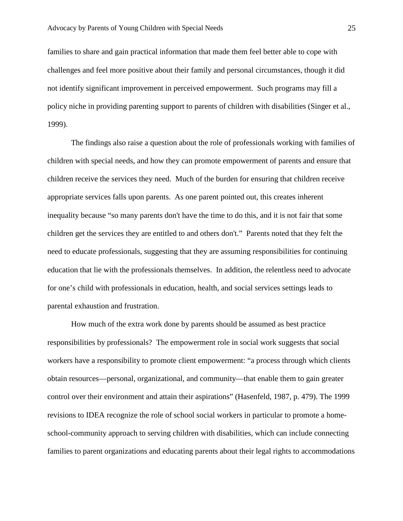families to share and gain practical information that made them feel better able to cope with challenges and feel more positive about their family and personal circumstances, though it did not identify significant improvement in perceived empowerment. Such programs may fill a policy niche in providing parenting support to parents of children with disabilities (Singer et al., 1999).

The findings also raise a question about the role of professionals working with families of children with special needs, and how they can promote empowerment of parents and ensure that children receive the services they need. Much of the burden for ensuring that children receive appropriate services falls upon parents. As one parent pointed out, this creates inherent inequality because "so many parents don't have the time to do this, and it is not fair that some children get the services they are entitled to and others don't." Parents noted that they felt the need to educate professionals, suggesting that they are assuming responsibilities for continuing education that lie with the professionals themselves. In addition, the relentless need to advocate for one's child with professionals in education, health, and social services settings leads to parental exhaustion and frustration.

How much of the extra work done by parents should be assumed as best practice responsibilities by professionals? The empowerment role in social work suggests that social workers have a responsibility to promote client empowerment: "a process through which clients obtain resources—personal, organizational, and community—that enable them to gain greater control over their environment and attain their aspirations" (Hasenfeld, 1987, p. 479). The 1999 revisions to IDEA recognize the role of school social workers in particular to promote a homeschool-community approach to serving children with disabilities, which can include connecting families to parent organizations and educating parents about their legal rights to accommodations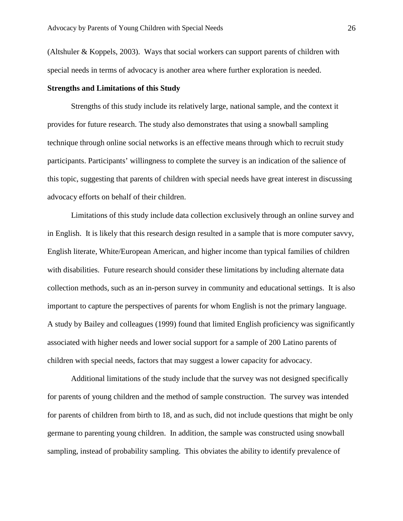(Altshuler & Koppels, 2003). Ways that social workers can support parents of children with special needs in terms of advocacy is another area where further exploration is needed.

# **Strengths and Limitations of this Study**

Strengths of this study include its relatively large, national sample, and the context it provides for future research. The study also demonstrates that using a snowball sampling technique through online social networks is an effective means through which to recruit study participants. Participants' willingness to complete the survey is an indication of the salience of this topic, suggesting that parents of children with special needs have great interest in discussing advocacy efforts on behalf of their children.

Limitations of this study include data collection exclusively through an online survey and in English. It is likely that this research design resulted in a sample that is more computer savvy, English literate, White/European American, and higher income than typical families of children with disabilities. Future research should consider these limitations by including alternate data collection methods, such as an in-person survey in community and educational settings. It is also important to capture the perspectives of parents for whom English is not the primary language. A study by Bailey and colleagues (1999) found that limited English proficiency was significantly associated with higher needs and lower social support for a sample of 200 Latino parents of children with special needs, factors that may suggest a lower capacity for advocacy.

Additional limitations of the study include that the survey was not designed specifically for parents of young children and the method of sample construction. The survey was intended for parents of children from birth to 18, and as such, did not include questions that might be only germane to parenting young children. In addition, the sample was constructed using snowball sampling, instead of probability sampling. This obviates the ability to identify prevalence of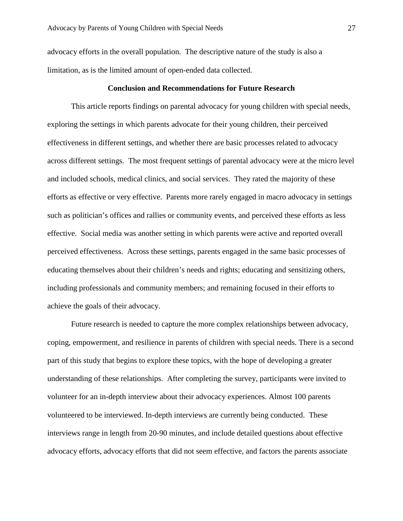advocacy efforts in the overall population. The descriptive nature of the study is also a limitation, as is the limited amount of open-ended data collected.

# **Conclusion and Recommendations for Future Research**

This article reports findings on parental advocacy for young children with special needs, exploring the settings in which parents advocate for their young children, their perceived effectiveness in different settings, and whether there are basic processes related to advocacy across different settings. The most frequent settings of parental advocacy were at the micro level and included schools, medical clinics, and social services. They rated the majority of these efforts as effective or very effective. Parents more rarely engaged in macro advocacy in settings such as politician's offices and rallies or community events, and perceived these efforts as less effective. Social media was another setting in which parents were active and reported overall perceived effectiveness. Across these settings, parents engaged in the same basic processes of educating themselves about their children's needs and rights; educating and sensitizing others, including professionals and community members; and remaining focused in their efforts to achieve the goals of their advocacy.

Future research is needed to capture the more complex relationships between advocacy, coping, empowerment, and resilience in parents of children with special needs. There is a second part of this study that begins to explore these topics, with the hope of developing a greater understanding of these relationships. After completing the survey, participants were invited to volunteer for an in-depth interview about their advocacy experiences. Almost 100 parents volunteered to be interviewed. In-depth interviews are currently being conducted. These interviews range in length from 20-90 minutes, and include detailed questions about effective advocacy efforts, advocacy efforts that did not seem effective, and factors the parents associate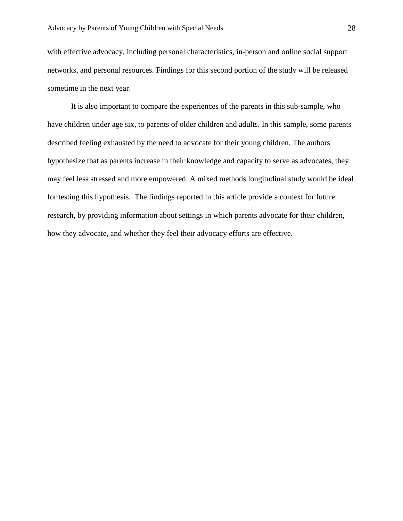with effective advocacy, including personal characteristics, in-person and online social support networks, and personal resources. Findings for this second portion of the study will be released sometime in the next year.

It is also important to compare the experiences of the parents in this sub-sample, who have children under age six, to parents of older children and adults. In this sample, some parents described feeling exhausted by the need to advocate for their young children. The authors hypothesize that as parents increase in their knowledge and capacity to serve as advocates, they may feel less stressed and more empowered. A mixed methods longitudinal study would be ideal for testing this hypothesis. The findings reported in this article provide a context for future research, by providing information about settings in which parents advocate for their children, how they advocate, and whether they feel their advocacy efforts are effective.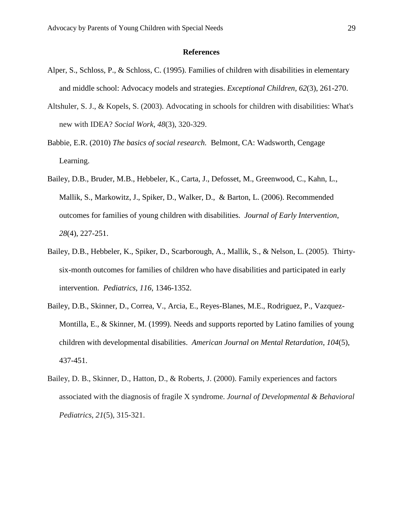#### **References**

- Alper, S., Schloss, P., & Schloss, C. (1995). Families of children with disabilities in elementary and middle school: Advocacy models and strategies. *Exceptional Children, 62*(3), 261-270.
- Altshuler, S. J., & Kopels, S. (2003). Advocating in schools for children with disabilities: What's new with IDEA? *Social Work*, *48*(3), 320-329.
- Babbie, E.R. (2010) *The basics of social research.* Belmont, CA: Wadsworth, Cengage Learning.
- Bailey, D.B., Bruder, M.B., Hebbeler, K., Carta, J., Defosset, M., Greenwood, C., Kahn, L., Mallik, S., Markowitz, J., Spiker, D., Walker, D., & Barton, L. (2006). Recommended outcomes for families of young children with disabilities. *Journal of Early Intervention*, *28*(4), 227-251.
- Bailey, D.B., Hebbeler, K., Spiker, D., Scarborough, A., Mallik, S., & Nelson, L. (2005). Thirtysix-month outcomes for families of children who have disabilities and participated in early intervention. *Pediatrics*, *116*, 1346-1352.
- Bailey, D.B., Skinner, D., Correa, V., Arcia, E., Reyes-Blanes, M.E., Rodriguez, P., Vazquez-Montilla, E., & Skinner, M. (1999). Needs and supports reported by Latino families of young children with developmental disabilities. *American Journal on Mental Retardation*, *104*(5), 437-451.
- Bailey, D. B., Skinner, D., Hatton, D., & Roberts, J. (2000). Family experiences and factors associated with the diagnosis of fragile X syndrome. *Journal of Developmental & Behavioral Pediatrics*, *21*(5), 315-321.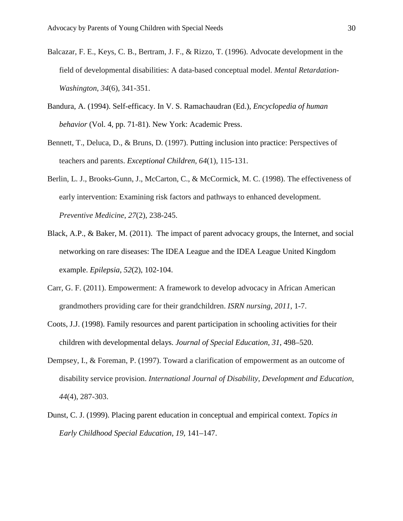- Balcazar, F. E., Keys, C. B., Bertram, J. F., & Rizzo, T. (1996). Advocate development in the field of developmental disabilities: A data-based conceptual model. *Mental Retardation-Washington*, *34*(6), 341-351.
- Bandura, A. (1994). Self-efficacy. In V. S. Ramachaudran (Ed.), *Encyclopedia of human behavior* (Vol. 4, pp. 71-81). New York: Academic Press.
- Bennett, T., Deluca, D., & Bruns, D. (1997). Putting inclusion into practice: Perspectives of teachers and parents. *Exceptional Children*, *64*(1), 115-131.
- Berlin, L. J., Brooks-Gunn, J., McCarton, C., & McCormick, M. C. (1998). The effectiveness of early intervention: Examining risk factors and pathways to enhanced development. *Preventive Medicine*, *27*(2), 238-245.
- Black, A.P., & Baker, M. (2011). The impact of parent advocacy groups, the Internet, and social networking on rare diseases: The IDEA League and the IDEA League United Kingdom example. *Epilepsia*, *52*(2), 102-104.
- Carr, G. F. (2011). Empowerment: A framework to develop advocacy in African American grandmothers providing care for their grandchildren. *ISRN nursing*, *2011*, 1-7.
- Coots, J.J. (1998). Family resources and parent participation in schooling activities for their children with developmental delays. *Journal of Special Education, 31*, 498–520.
- Dempsey, I., & Foreman, P. (1997). Toward a clarification of empowerment as an outcome of disability service provision. *International Journal of Disability, Development and Education*, *44*(4), 287-303.
- Dunst, C. J. (1999). Placing parent education in conceptual and empirical context. *Topics in Early Childhood Special Education*, *19*, 141–147.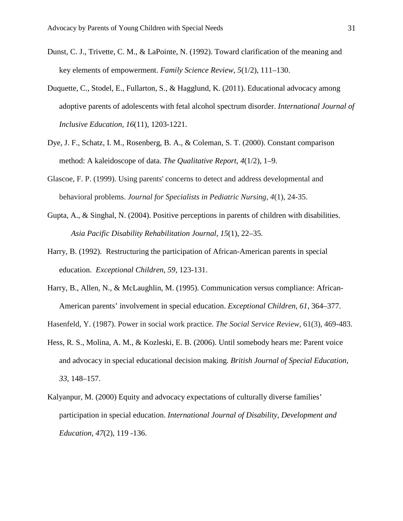- Dunst, C. J., Trivette, C. M., & LaPointe, N. (1992). Toward clarification of the meaning and key elements of empowerment. *Family Science Review*, *5*(1/2), 111–130.
- Duquette, C., Stodel, E., Fullarton, S., & Hagglund, K. (2011). Educational advocacy among adoptive parents of adolescents with fetal alcohol spectrum disorder. *International Journal of Inclusive Education, 16*(11), 1203-1221.
- Dye, J. F., Schatz, I. M., Rosenberg, B. A., & Coleman, S. T. (2000). Constant comparison method: A kaleidoscope of data. *The Qualitative Report*, *4*(1/2), 1–9.
- Glascoe, F. P. (1999). Using parents' concerns to detect and address developmental and behavioral problems. *Journal for Specialists in Pediatric Nursing*, *4*(1), 24-35.
- Gupta, A., & Singhal, N. (2004). Positive perceptions in parents of children with disabilities. *Asia Pacific Disability Rehabilitation Journal*, *15*(1), 22–35.
- Harry, B. (1992). Restructuring the participation of African-American parents in special education. *Exceptional Children*, *59*, 123-131.
- Harry, B., Allen, N., & McLaughlin, M. (1995). Communication versus compliance: African-American parents' involvement in special education. *Exceptional Children, 61*, 364–377.
- Hasenfeld, Y. (1987). Power in social work practice. *The Social Service Review*, 61(3), 469-483.
- Hess, R. S., Molina, A. M., & Kozleski, E. B. (2006). Until somebody hears me: Parent voice and advocacy in special educational decision making*. British Journal of Special Education, 33*, 148–157.
- Kalyanpur, M. (2000) Equity and advocacy expectations of culturally diverse families' participation in special education. *International Journal of Disability, Development and Education, 47*(2), 119 -136.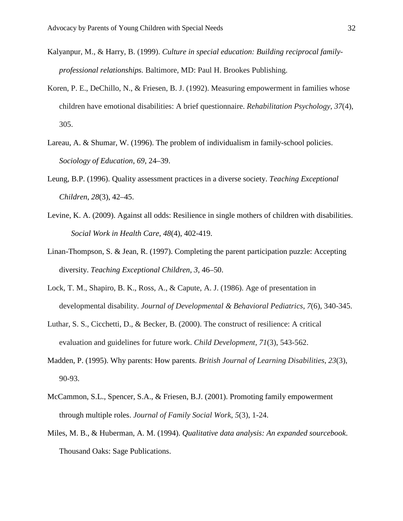- Kalyanpur, M., & Harry, B. (1999). *Culture in special education: Building reciprocal familyprofessional relationships.* Baltimore, MD: Paul H. Brookes Publishing.
- Koren, P. E., DeChillo, N., & Friesen, B. J. (1992). Measuring empowerment in families whose children have emotional disabilities: A brief questionnaire. *Rehabilitation Psychology*, *37*(4), 305.
- Lareau, A. & Shumar, W. (1996). The problem of individualism in family-school policies. *Sociology of Education*, *69*, 24–39.
- Leung, B.P. (1996). Quality assessment practices in a diverse society. *Teaching Exceptional Children*, *28*(3), 42–45.
- Levine, K. A. (2009). Against all odds: Resilience in single mothers of children with disabilities. *Social Work in Health Care*, *48*(4), 402-419.
- Linan-Thompson, S. & Jean, R. (1997). Completing the parent participation puzzle: Accepting diversity. *Teaching Exceptional Children*, *3*, 46–50.
- Lock, T. M., Shapiro, B. K., Ross, A., & Capute, A. J. (1986). Age of presentation in developmental disability. *Journal of Developmental & Behavioral Pediatrics*, *7*(6), 340-345.
- Luthar, S. S., Cicchetti, D., & Becker, B. (2000). The construct of resilience: A critical evaluation and guidelines for future work. *Child Development*, *71*(3), 543-562.
- Madden, P. (1995). Why parents: How parents. *British Journal of Learning Disabilities*, *23*(3), 90-93.
- McCammon, S.L., Spencer, S.A., & Friesen, B.J. (2001). Promoting family empowerment through multiple roles. *Journal of Family Social Work*, *5*(3), 1-24.
- Miles, M. B., & Huberman, A. M. (1994). *Qualitative data analysis: An expanded sourcebook*. Thousand Oaks: Sage Publications.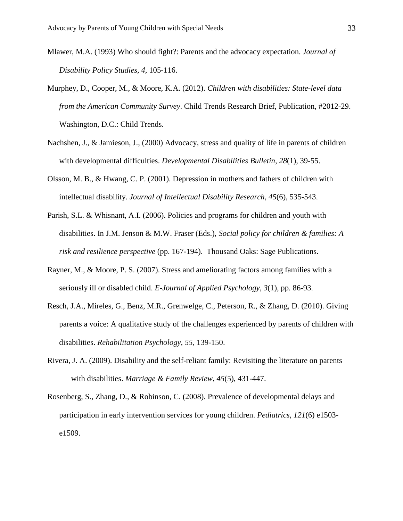- Mlawer, M.A. (1993) Who should fight?: Parents and the advocacy expectation. *Journal of Disability Policy Studies, 4*, 105-116.
- Murphey, D., Cooper, M., & Moore, K.A. (2012). *Children with disabilities: State-level data from the American Community Survey*. Child Trends Research Brief, Publication, #2012-29. Washington, D.C.: Child Trends.
- Nachshen, J., & Jamieson, J., (2000) Advocacy, stress and quality of life in parents of children with developmental difficulties. *Developmental Disabilities Bulletin*, *28*(1), 39-55.
- Olsson, M. B., & Hwang, C. P. (2001). Depression in mothers and fathers of children with intellectual disability. *Journal of Intellectual Disability Research*, *45*(6), 535-543.
- Parish, S.L. & Whisnant, A.I. (2006). Policies and programs for children and youth with disabilities. In J.M. Jenson & M.W. Fraser (Eds.), *Social policy for children & families: A risk and resilience perspective* (pp. 167-194). Thousand Oaks: Sage Publications.
- Rayner, M., & Moore, P. S. (2007). Stress and ameliorating factors among families with a seriously ill or disabled child. *E-Journal of Applied Psychology*, *3*(1), pp. 86-93.
- Resch, J.A., Mireles, G., Benz, M.R., Grenwelge, C., Peterson, R., & Zhang, D. (2010). Giving parents a voice: A qualitative study of the challenges experienced by parents of children with disabilities. *Rehabilitation Psychology*, *55*, 139-150.
- Rivera, J. A. (2009). Disability and the self-reliant family: Revisiting the literature on parents with disabilities. *Marriage & Family Review*, *45*(5), 431-447.
- Rosenberg, S., Zhang, D., & Robinson, C. (2008). Prevalence of developmental delays and participation in early intervention services for young children. *Pediatrics, 121*(6) e1503 e1509.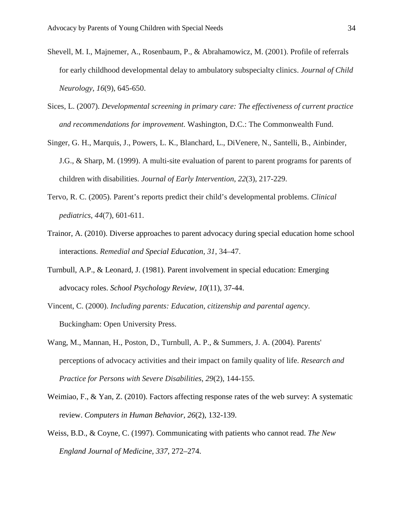- Shevell, M. I., Majnemer, A., Rosenbaum, P., & Abrahamowicz, M. (2001). Profile of referrals for early childhood developmental delay to ambulatory subspecialty clinics. *Journal of Child Neurology*, *16*(9), 645-650.
- Sices, L. (2007). *Developmental screening in primary care: The effectiveness of current practice and recommendations for improvement*. Washington, D.C.: The Commonwealth Fund.
- Singer, G. H., Marquis, J., Powers, L. K., Blanchard, L., DiVenere, N., Santelli, B., Ainbinder, J.G., & Sharp, M. (1999). A multi-site evaluation of parent to parent programs for parents of children with disabilities. *Journal of Early Intervention*, *22*(3), 217-229.
- Tervo, R. C. (2005). Parent's reports predict their child's developmental problems. *Clinical pediatrics*, *44*(7), 601-611.
- Trainor, A. (2010). Diverse approaches to parent advocacy during special education home school interactions. *Remedial and Special Education*, *31*, 34–47.
- Turnbull, A.P., & Leonard, J. (1981). Parent involvement in special education: Emerging advocacy roles. *School Psychology Review, 10*(11), 37-44.
- Vincent, C. (2000). *Including parents: Education, citizenship and parental agency*. Buckingham: Open University Press.
- Wang, M., Mannan, H., Poston, D., Turnbull, A. P., & Summers, J. A. (2004). Parents' perceptions of advocacy activities and their impact on family quality of life. *Research and Practice for Persons with Severe Disabilities*, *29*(2), 144-155.
- Weimiao, F., & Yan, Z. (2010). Factors affecting response rates of the web survey: A systematic review. *Computers in Human Behavior, 26*(2), 132-139.
- Weiss, B.D., & Coyne, C. (1997). Communicating with patients who cannot read. *The New England Journal of Medicine, 337*, 272–274.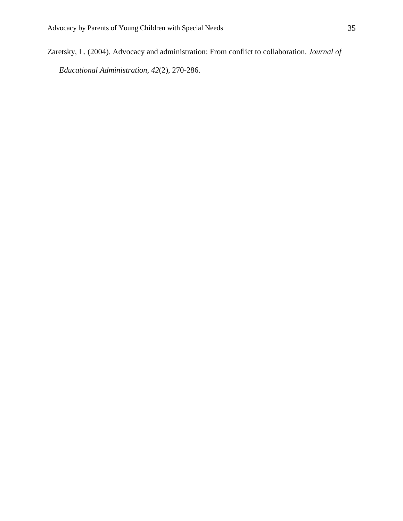Zaretsky, L. (2004). Advocacy and administration: From conflict to collaboration. *Journal of* 

*Educational Administration*, *42*(2), 270-286.